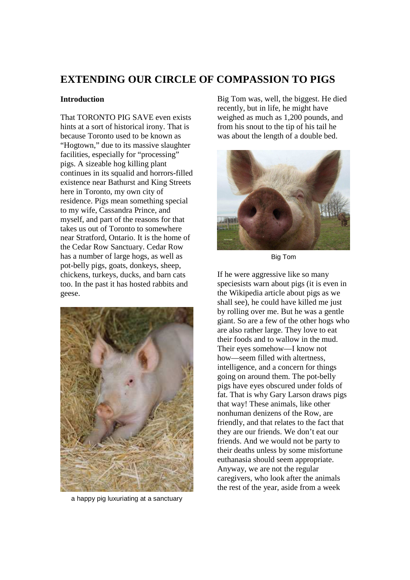# **EXTENDING OUR CIRCLE OF COMPASSION TO PIGS**

# **Introduction**

That TORONTO PIG SAVE even exists hints at a sort of historical irony. That is because Toronto used to be known as "Hogtown," due to its massive slaughter facilities, especially for "processing" pigs. A sizeable hog killing plant continues in its squalid and horrors-filled existence near Bathurst and King Streets here in Toronto, my own city of residence. Pigs mean something special to my wife, Cassandra Prince, and myself, and part of the reasons for that takes us out of Toronto to somewhere near Stratford, Ontario. It is the home of the Cedar Row Sanctuary. Cedar Row has a number of large hogs, as well as pot-belly pigs, goats, donkeys, sheep, chickens, turkeys, ducks, and barn cats too. In the past it has hosted rabbits and geese.



a happy pig luxuriating at a sanctuary

Big Tom was, well, the biggest. He died recently, but in life, he might have weighed as much as 1,200 pounds, and from his snout to the tip of his tail he was about the length of a double bed.



Big Tom

If he were aggressive like so many speciesists warn about pigs (it is even in the Wikipedia article about pigs as we shall see), he could have killed me just by rolling over me. But he was a gentle giant. So are a few of the other hogs who are also rather large. They love to eat their foods and to wallow in the mud. Their eyes somehow—I know not how—seem filled with altertness, intelligence, and a concern for things going on around them. The pot-belly pigs have eyes obscured under folds of fat. That is why Gary Larson draws pigs that way! These animals, like other nonhuman denizens of the Row, are friendly, and that relates to the fact that they are our friends. We don't eat our friends. And we would not be party to their deaths unless by some misfortune euthanasia should seem appropriate. Anyway, we are not the regular caregivers, who look after the animals the rest of the year, aside from a week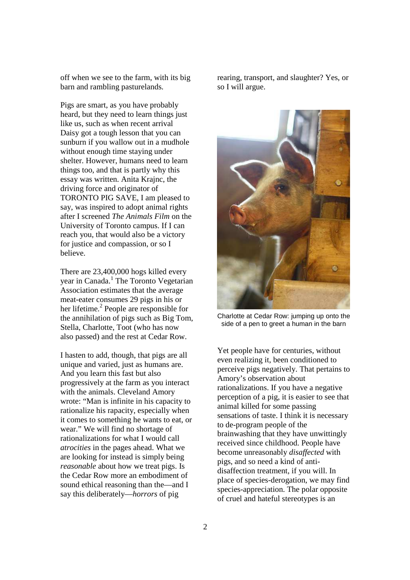off when we see to the farm, with its big barn and rambling pasturelands.

Pigs are smart, as you have probably heard, but they need to learn things just like us, such as when recent arrival Daisy got a tough lesson that you can sunburn if you wallow out in a mudhole without enough time staying under shelter. However, humans need to learn things too, and that is partly why this essay was written. Anita Krajnc, the driving force and originator of TORONTO PIG SAVE, I am pleased to say, was inspired to adopt animal rights after I screened *The Animals Film* on the University of Toronto campus. If I can reach you, that would also be a victory for justice and compassion, or so I believe.

There are 23,400,000 hogs killed every year in Canada.<sup>1</sup> The Toronto Vegetarian Association estimates that the average meat-eater consumes 29 pigs in his or her lifetime.<sup>2</sup> People are responsible for the annihilation of pigs such as Big Tom, Stella, Charlotte, Toot (who has now also passed) and the rest at Cedar Row.

I hasten to add, though, that pigs are all unique and varied, just as humans are. And you learn this fast but also progressively at the farm as you interact with the animals. Cleveland Amory wrote: "Man is infinite in his capacity to rationalize his rapacity, especially when it comes to something he wants to eat, or wear." We will find no shortage of rationalizations for what I would call *atrocities* in the pages ahead. What we are looking for instead is simply being *reasonable* about how we treat pigs. Is the Cedar Row more an embodiment of sound ethical reasoning than the—and I say this deliberately—*horrors* of pig

rearing, transport, and slaughter? Yes, or so I will argue.



Charlotte at Cedar Row: jumping up onto the side of a pen to greet a human in the barn

Yet people have for centuries, without even realizing it, been conditioned to perceive pigs negatively. That pertains to Amory's observation about rationalizations. If you have a negative perception of a pig, it is easier to see that animal killed for some passing sensations of taste. I think it is necessary to de-program people of the brainwashing that they have unwittingly received since childhood. People have become unreasonably *disaffected* with pigs, and so need a kind of antidisaffection treatment, if you will. In place of species-derogation, we may find species-appreciation. The polar opposite of cruel and hateful stereotypes is an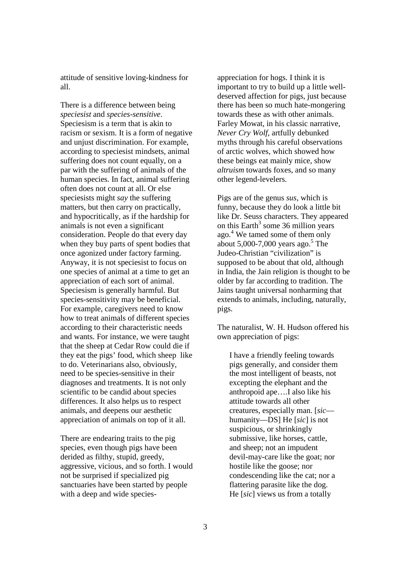attitude of sensitive loving-kindness for all.

There is a difference between being *speciesist* and *species-sensitive*. Speciesism is a term that is akin to racism or sexism. It is a form of negative and unjust discrimination. For example, according to speciesist mindsets, animal suffering does not count equally, on a par with the suffering of animals of the human species. In fact, animal suffering often does not count at all. Or else speciesists might *say* the suffering matters, but then carry on practically, and hypocritically, as if the hardship for animals is not even a significant consideration. People do that every day when they buy parts of spent bodies that once agonized under factory farming. Anyway, it is not speciesist to focus on one species of animal at a time to get an appreciation of each sort of animal. Speciesism is generally harmful. But species-sensitivity may be beneficial. For example, caregivers need to know how to treat animals of different species according to their characteristic needs and wants. For instance, we were taught that the sheep at Cedar Row could die if they eat the pigs' food, which sheep like to do. Veterinarians also, obviously, need to be species-sensitive in their diagnoses and treatments. It is not only scientific to be candid about species differences. It also helps us to respect animals, and deepens our aesthetic appreciation of animals on top of it all.

There are endearing traits to the pig species, even though pigs have been derided as filthy, stupid, greedy, aggressive, vicious, and so forth. I would not be surprised if specialized pig sanctuaries have been started by people with a deep and wide speciesappreciation for hogs. I think it is important to try to build up a little welldeserved affection for pigs, just because there has been so much hate-mongering towards these as with other animals. Farley Mowat, in his classic narrative, *Never Cry Wolf*, artfully debunked myths through his careful observations of arctic wolves, which showed how these beings eat mainly mice, show *altruism* towards foxes, and so many other legend-levelers.

Pigs are of the genus *sus*, which is funny, because they do look a little bit like Dr. Seuss characters. They appeared on this Earth<sup>3</sup> some 36 million years ago.<sup>4</sup> We tamed some of them only about 5,000-7,000 years ago.<sup>5</sup> The Judeo-Christian "civilization" is supposed to be about that old, although in India, the Jain religion is thought to be older by far according to tradition. The Jains taught universal nonharming that extends to animals, including, naturally, pigs.

The naturalist, W. H. Hudson offered his own appreciation of pigs:

I have a friendly feeling towards pigs generally, and consider them the most intelligent of beasts, not excepting the elephant and the anthropoid ape….I also like his attitude towards all other creatures, especially man. [*sic* humanity—DS] He [*sic*] is not suspicious, or shrinkingly submissive, like horses, cattle, and sheep; not an impudent devil-may-care like the goat; nor hostile like the goose; nor condescending like the cat; nor a flattering parasite like the dog. He [*sic*] views us from a totally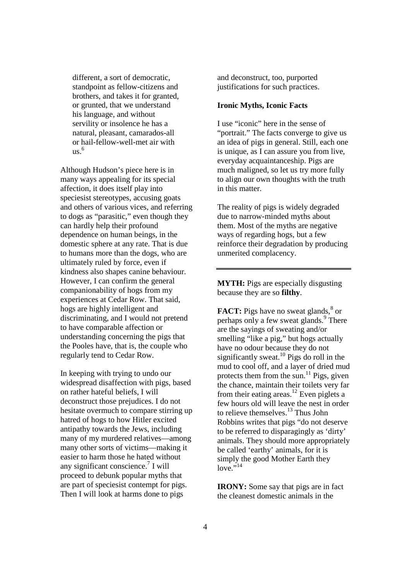different, a sort of democratic, standpoint as fellow-citizens and brothers, and takes it for granted, or grunted, that we understand his language, and without servility or insolence he has a natural, pleasant, camarados-all or hail-fellow-well-met air with us. 6

Although Hudson's piece here is in many ways appealing for its special affection, it does itself play into speciesist stereotypes, accusing goats and others of various vices, and referring to dogs as "parasitic," even though they can hardly help their profound dependence on human beings, in the domestic sphere at any rate. That is due to humans more than the dogs, who are ultimately ruled by force, even if kindness also shapes canine behaviour. However, I can confirm the general companionability of hogs from my experiences at Cedar Row. That said, hogs are highly intelligent and discriminating, and I would not pretend to have comparable affection or understanding concerning the pigs that the Pooles have, that is, the couple who regularly tend to Cedar Row.

In keeping with trying to undo our widespread disaffection with pigs, based on rather hateful beliefs, I will deconstruct those prejudices. I do not hesitate overmuch to compare stirring up hatred of hogs to how Hitler excited antipathy towards the Jews, including many of my murdered relatives—among many other sorts of victims—making it easier to harm those he hated without any significant conscience.<sup>7</sup> I will proceed to debunk popular myths that are part of speciesist contempt for pigs. Then I will look at harms done to pigs

and deconstruct, too, purported justifications for such practices.

#### **Ironic Myths, Iconic Facts**

I use "iconic" here in the sense of "portrait." The facts converge to give us an idea of pigs in general. Still, each one is unique, as I can assure you from live, everyday acquaintanceship. Pigs are much maligned, so let us try more fully to align our own thoughts with the truth in this matter.

The reality of pigs is widely degraded due to narrow-minded myths about them. Most of the myths are negative ways of regarding hogs, but a few reinforce their degradation by producing unmerited complacency.

**MYTH:** Pigs are especially disgusting because they are so **filthy**.

**FACT:** Pigs have no sweat glands,<sup>8</sup> or perhaps only a few sweat glands.<sup>9</sup> There are the sayings of sweating and/or smelling "like a pig," but hogs actually have no odour because they do not significantly sweat.<sup>10</sup> Pigs do roll in the mud to cool off, and a layer of dried mud protects them from the sun.<sup>11</sup> Pigs, given the chance, maintain their toilets very far from their eating areas.<sup>12</sup> Even piglets a few hours old will leave the nest in order to relieve themselves.<sup>13</sup> Thus John Robbins writes that pigs "do not deserve to be referred to disparagingly as 'dirty' animals. They should more appropriately be called 'earthy' animals, for it is simply the good Mother Earth they  $\frac{1}{2}$   $\frac{1}{14}$ 

**IRONY:** Some say that pigs are in fact the cleanest domestic animals in the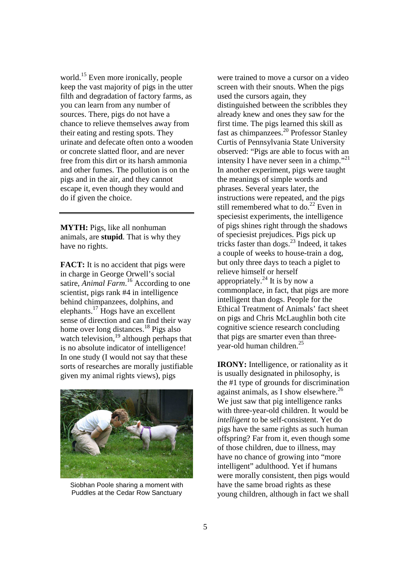world.<sup>15</sup> Even more ironically, people keep the vast majority of pigs in the utter filth and degradation of factory farms, as you can learn from any number of sources. There, pigs do not have a chance to relieve themselves away from their eating and resting spots. They urinate and defecate often onto a wooden or concrete slatted floor, and are never free from this dirt or its harsh ammonia and other fumes. The pollution is on the pigs and in the air, and they cannot escape it, even though they would and do if given the choice.

**MYTH:** Pigs, like all nonhuman animals, are **stupid**. That is why they have no rights.

**FACT:** It is no accident that pigs were in charge in George Orwell's social satire, *Animal Farm*.<sup>16</sup> According to one scientist, pigs rank #4 in intelligence behind chimpanzees, dolphins, and elephants.<sup>17</sup> Hogs have an excellent sense of direction and can find their way home over long distances.<sup>18</sup> Pigs also watch television, $\frac{19}{2}$  although perhaps that is no absolute indicator of intelligence! In one study (I would not say that these sorts of researches are morally justifiable given my animal rights views), pigs



Siobhan Poole sharing a moment with Puddles at the Cedar Row Sanctuary

were trained to move a cursor on a video screen with their snouts. When the pigs used the cursors again, they distinguished between the scribbles they already knew and ones they saw for the first time. The pigs learned this skill as fast as chimpanzees.<sup>20</sup> Professor Stanley Curtis of Pennsylvania State University observed: "Pigs are able to focus with an intensity I have never seen in a chimp."<sup>21</sup> In another experiment, pigs were taught the meanings of simple words and phrases. Several years later, the instructions were repeated, and the pigs still remembered what to do.<sup>22</sup> Even in speciesist experiments, the intelligence of pigs shines right through the shadows of speciesist prejudices. Pigs pick up tricks faster than dogs. $^{23}$  Indeed, it takes a couple of weeks to house-train a dog, but only three days to teach a piglet to relieve himself or herself appropriately. $^{24}$  It is by now a commonplace, in fact, that pigs are more intelligent than dogs. People for the Ethical Treatment of Animals' fact sheet on pigs and Chris McLaughlin both cite cognitive science research concluding that pigs are smarter even than threeyear-old human children.<sup>25</sup>

**IRONY:** Intelligence, or rationality as it is usually designated in philosophy, is the #1 type of grounds for discrimination against animals, as I show elsewhere.<sup>26</sup> We just saw that pig intelligence ranks with three-year-old children. It would be *intelligent* to be self-consistent. Yet do pigs have the same rights as such human offspring? Far from it, even though some of those children, due to illness, may have no chance of growing into "more intelligent" adulthood. Yet if humans were morally consistent, then pigs would have the same broad rights as these young children, although in fact we shall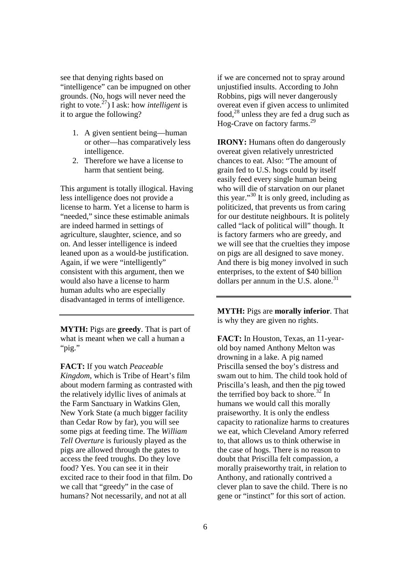see that denying rights based on "intelligence" can be impugned on other grounds. (No, hogs will never need the right to vote.<sup>27</sup>) I ask: how *intelligent* is it to argue the following?

- 1. A given sentient being—human or other—has comparatively less intelligence.
- 2. Therefore we have a license to harm that sentient being.

This argument is totally illogical. Having less intelligence does not provide a license to harm. Yet a license to harm is "needed," since these estimable animals are indeed harmed in settings of agriculture, slaughter, science, and so on. And lesser intelligence is indeed leaned upon as a would-be justification. Again, if we were "intelligently" consistent with this argument, then we would also have a license to harm human adults who are especially disadvantaged in terms of intelligence.

**MYTH:** Pigs are **greedy**. That is part of what is meant when we call a human a "pig."

**FACT:** If you watch *Peaceable Kingdom*, which is Tribe of Heart's film about modern farming as contrasted with the relatively idyllic lives of animals at the Farm Sanctuary in Watkins Glen, New York State (a much bigger facility than Cedar Row by far), you will see some pigs at feeding time. The *William Tell Overture* is furiously played as the pigs are allowed through the gates to access the feed troughs. Do they love food? Yes. You can see it in their excited race to their food in that film. Do we call that "greedy" in the case of humans? Not necessarily, and not at all

if we are concerned not to spray around unjustified insults. According to John Robbins, pigs will never dangerously overeat even if given access to unlimited food, $^{28}$  unless they are fed a drug such as Hog-Crave on factory farms.<sup>29</sup>

**IRONY:** Humans often do dangerously overeat given relatively unrestricted chances to eat. Also: "The amount of grain fed to U.S. hogs could by itself easily feed every single human being who will die of starvation on our planet this year."<sup>30</sup> It is only greed, including as politicized, that prevents us from caring for our destitute neighbours. It is politely called "lack of political will" though. It is factory farmers who are greedy, and we will see that the cruelties they impose on pigs are all designed to save money. And there is big money involved in such enterprises, to the extent of \$40 billion dollars per annum in the U.S. alone. $31$ 

**MYTH:** Pigs are **morally inferior**. That is why they are given no rights.

**FACT:** In Houston, Texas, an 11-yearold boy named Anthony Melton was drowning in a lake. A pig named Priscilla sensed the boy's distress and swam out to him. The child took hold of Priscilla's leash, and then the pig towed the terrified boy back to shore. $32 \text{ In}$ humans we would call this morally praiseworthy. It is only the endless capacity to rationalize harms to creatures we eat, which Cleveland Amory referred to, that allows us to think otherwise in the case of hogs. There is no reason to doubt that Priscilla felt compassion, a morally praiseworthy trait, in relation to Anthony, and rationally contrived a clever plan to save the child. There is no gene or "instinct" for this sort of action.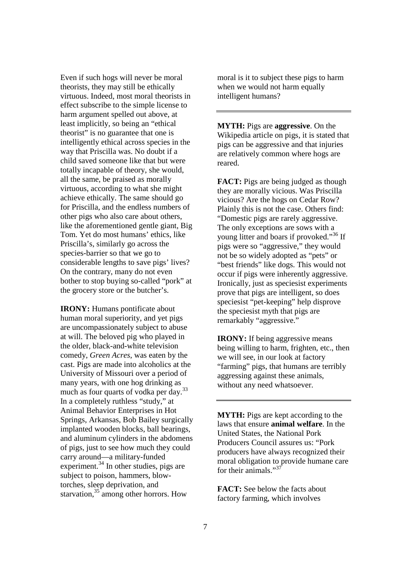Even if such hogs will never be moral theorists, they may still be ethically virtuous. Indeed, most moral theorists in effect subscribe to the simple license to harm argument spelled out above, at least implicitly, so being an "ethical theorist" is no guarantee that one is intelligently ethical across species in the way that Priscilla was. No doubt if a child saved someone like that but were totally incapable of theory, she would, all the same, be praised as morally virtuous, according to what she might achieve ethically. The same should go for Priscilla, and the endless numbers of other pigs who also care about others, like the aforementioned gentle giant, Big Tom. Yet do most humans' ethics, like Priscilla's, similarly go across the species-barrier so that we go to considerable lengths to save pigs' lives? On the contrary, many do not even bother to stop buying so-called "pork" at the grocery store or the butcher's.

**IRONY:** Humans pontificate about human moral superiority, and yet pigs are uncompassionately subject to abuse at will. The beloved pig who played in the older, black-and-white television comedy, *Green Acres*, was eaten by the cast. Pigs are made into alcoholics at the University of Missouri over a period of many years, with one hog drinking as much as four quarts of vodka per day. $^{33}$ In a completely ruthless "study," at Animal Behavior Enterprises in Hot Springs, Arkansas, Bob Bailey surgically implanted wooden blocks, ball bearings, and aluminum cylinders in the abdomens of pigs, just to see how much they could carry around—a military-funded experiment.<sup>34</sup> In other studies, pigs are subject to poison, hammers, blowtorches, sleep deprivation, and starvation,<sup>35</sup> among other horrors. How

moral is it to subject these pigs to harm when we would not harm equally intelligent humans?

**MYTH:** Pigs are **aggressive**. On the Wikipedia article on pigs, it is stated that pigs can be aggressive and that injuries are relatively common where hogs are reared.

**FACT:** Pigs are being judged as though they are morally vicious. Was Priscilla vicious? Are the hogs on Cedar Row? Plainly this is not the case. Others find: "Domestic pigs are rarely aggressive. The only exceptions are sows with a young litter and boars if provoked."<sup>36</sup> If pigs were so "aggressive," they would not be so widely adopted as "pets" or "best friends" like dogs. This would not occur if pigs were inherently aggressive. Ironically, just as speciesist experiments prove that pigs are intelligent, so does speciesist "pet-keeping" help disprove the speciesist myth that pigs are remarkably "aggressive."

**IRONY:** If being aggressive means being willing to harm, frighten, etc., then we will see, in our look at factory "farming" pigs, that humans are terribly aggressing against these animals, without any need whatsoever.

**MYTH:** Pigs are kept according to the laws that ensure **animal welfare**. In the United States, the National Pork Producers Council assures us: "Pork producers have always recognized their moral obligation to provide humane care for their animals."<sup>37</sup>

**FACT:** See below the facts about factory farming, which involves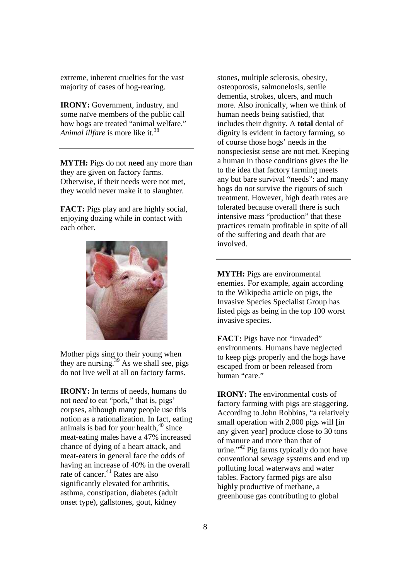extreme, inherent cruelties for the vast majority of cases of hog-rearing.

**IRONY:** Government, industry, and some naïve members of the public call how hogs are treated "animal welfare." *Animal illfare* is more like it.<sup>38</sup>

**MYTH:** Pigs do not **need** any more than they are given on factory farms. Otherwise, if their needs were not met, they would never make it to slaughter.

**FACT:** Pigs play and are highly social, enjoying dozing while in contact with each other.



Mother pigs sing to their young when they are nursing.<sup>39</sup> As we shall see, pigs do not live well at all on factory farms.

**IRONY:** In terms of needs, humans do not *need* to eat "pork," that is, pigs' corpses, although many people use this notion as a rationalization. In fact, eating animals is bad for your health, $40 \text{ since}$ meat-eating males have a 47% increased chance of dying of a heart attack, and meat-eaters in general face the odds of having an increase of 40% in the overall rate of cancer. $41$  Rates are also significantly elevated for arthritis, asthma, constipation, diabetes (adult onset type), gallstones, gout, kidney

stones, multiple sclerosis, obesity, osteoporosis, salmonelosis, senile dementia, strokes, ulcers, and much more. Also ironically, when we think of human needs being satisfied, that includes their dignity. A **total** denial of dignity is evident in factory farming, so of course those hogs' needs in the nonspeciesist sense are not met. Keeping a human in those conditions gives the lie to the idea that factory farming meets any but bare survival "needs": and many hogs do *not* survive the rigours of such treatment. However, high death rates are tolerated because overall there is such intensive mass "production" that these practices remain profitable in spite of all of the suffering and death that are involved.

**MYTH:** Pigs are environmental enemies. For example, again according to the Wikipedia article on pigs, the Invasive Species Specialist Group has listed pigs as being in the top 100 worst invasive species.

**FACT:** Pigs have not "invaded" environments. Humans have neglected to keep pigs properly and the hogs have escaped from or been released from human "care."

**IRONY:** The environmental costs of factory farming with pigs are staggering. According to John Robbins, "a relatively small operation with 2,000 pigs will [in any given year] produce close to 30 tons of manure and more than that of urine."<sup>42</sup> Pig farms typically do not have conventional sewage systems and end up polluting local waterways and water tables. Factory farmed pigs are also highly productive of methane, a greenhouse gas contributing to global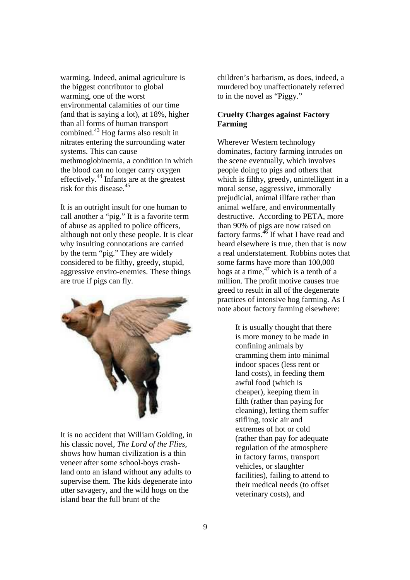warming. Indeed, animal agriculture is the biggest contributor to global warming, one of the worst environmental calamities of our time (and that is saying a lot), at 18%, higher than all forms of human transport combined.<sup>43</sup> Hog farms also result in nitrates entering the surrounding water systems. This can cause methmoglobinemia, a condition in which the blood can no longer carry oxygen effectively.<sup>44</sup> Infants are at the greatest risk for this disease<sup>45</sup>

It is an outright insult for one human to call another a "pig." It is a favorite term of abuse as applied to police officers, although not only these people. It is clear why insulting connotations are carried by the term "pig." They are widely considered to be filthy, greedy, stupid, aggressive enviro-enemies. These things are true if pigs can fly.



It is no accident that William Golding, in his classic novel, *The Lord of the Flies*, shows how human civilization is a thin veneer after some school-boys crashland onto an island without any adults to supervise them. The kids degenerate into utter savagery, and the wild hogs on the island bear the full brunt of the

children's barbarism, as does, indeed, a murdered boy unaffectionately referred to in the novel as "Piggy."

# **Cruelty Charges against Factory Farming**

Wherever Western technology dominates, factory farming intrudes on the scene eventually, which involves people doing to pigs and others that which is filthy, greedy, unintelligent in a moral sense, aggressive, immorally prejudicial, animal illfare rather than animal welfare, and environmentally destructive. According to PETA, more than 90% of pigs are now raised on factory farms.<sup>46</sup> If what I have read and heard elsewhere is true, then that is now a real understatement. Robbins notes that some farms have more than 100,000 hogs at a time, $47$  which is a tenth of a million. The profit motive causes true greed to result in all of the degenerate practices of intensive hog farming. As I note about factory farming elsewhere:

> It is usually thought that there is more money to be made in confining animals by cramming them into minimal indoor spaces (less rent or land costs), in feeding them awful food (which is cheaper), keeping them in filth (rather than paying for cleaning), letting them suffer stifling, toxic air and extremes of hot or cold (rather than pay for adequate regulation of the atmosphere in factory farms, transport vehicles, or slaughter facilities), failing to attend to their medical needs (to offset veterinary costs), and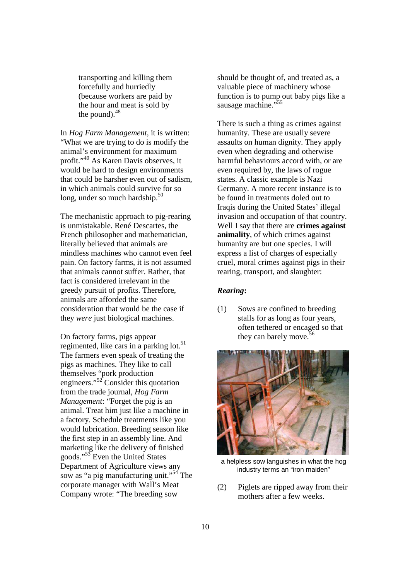transporting and killing them forcefully and hurriedly (because workers are paid by the hour and meat is sold by the pound). $48$ 

In *Hog Farm Management*, it is written: "What we are trying to do is modify the animal's environment for maximum profit."<sup>49</sup> As Karen Davis observes, it would be hard to design environments that could be harsher even out of sadism, in which animals could survive for so long, under so much hardship.<sup>50</sup>

The mechanistic approach to pig-rearing is unmistakable. René Descartes, the French philosopher and mathematician, literally believed that animals are mindless machines who cannot even feel pain. On factory farms, it is not assumed that animals cannot suffer. Rather, that fact is considered irrelevant in the greedy pursuit of profits. Therefore, animals are afforded the same consideration that would be the case if they *were* just biological machines.

On factory farms, pigs appear regimented, like cars in a parking lot.<sup>51</sup> The farmers even speak of treating the pigs as machines. They like to call themselves "pork production engineers."<sup>52</sup> Consider this quotation from the trade journal, *Hog Farm Management*: "Forget the pig is an animal. Treat him just like a machine in a factory. Schedule treatments like you would lubrication. Breeding season like the first step in an assembly line. And marketing like the delivery of finished goods."<sup>53</sup> Even the United States Department of Agriculture views any sow as "a pig manufacturing unit."<sup>54</sup> The corporate manager with Wall's Meat Company wrote: "The breeding sow

should be thought of, and treated as, a valuable piece of machinery whose function is to pump out baby pigs like a sausage machine."<sup>55</sup>

There is such a thing as crimes against humanity. These are usually severe assaults on human dignity. They apply even when degrading and otherwise harmful behaviours accord with, or are even required by, the laws of rogue states. A classic example is Nazi Germany. A more recent instance is to be found in treatments doled out to Iraqis during the United States' illegal invasion and occupation of that country. Well I say that there are **crimes against animality**, of which crimes against humanity are but one species. I will express a list of charges of especially cruel, moral crimes against pigs in their rearing, transport, and slaughter:

#### *Rearing***:**

(1) Sows are confined to breeding stalls for as long as four years, often tethered or encaged so that they can barely move.  $56$ 



a helpless sow languishes in what the hog industry terms an "iron maiden"

(2) Piglets are ripped away from their mothers after a few weeks.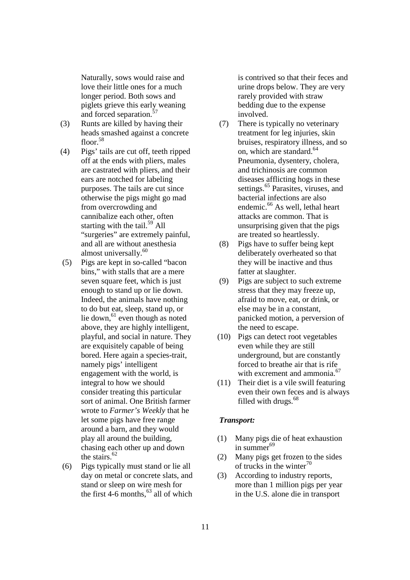Naturally, sows would raise and love their little ones for a much longer period. Both sows and piglets grieve this early weaning and forced separation.<sup>57</sup>

- (3) Runts are killed by having their heads smashed against a concrete floor.<sup>58</sup>
- (4) Pigs' tails are cut off, teeth ripped off at the ends with pliers, males are castrated with pliers, and their ears are notched for labeling purposes. The tails are cut since otherwise the pigs might go mad from overcrowding and cannibalize each other, often starting with the tail. $^{59}$  All "surgeries" are extremely painful, and all are without anesthesia almost universally.<sup>60</sup>
- (5) Pigs are kept in so-called "bacon bins," with stalls that are a mere seven square feet, which is just enough to stand up or lie down. Indeed, the animals have nothing to do but eat, sleep, stand up, or lie down,  $61$  even though as noted above, they are highly intelligent, playful, and social in nature. They are exquisitely capable of being bored. Here again a species-trait, namely pigs' intelligent engagement with the world, is integral to how we should consider treating this particular sort of animal. One British farmer wrote to *Farmer's Weekly* that he let some pigs have free range around a barn, and they would play all around the building, chasing each other up and down the stairs.<sup>62</sup>
- (6) Pigs typically must stand or lie all day on metal or concrete slats, and stand or sleep on wire mesh for the first 4-6 months,  $^{63}$  all of which

is contrived so that their feces and urine drops below. They are very rarely provided with straw bedding due to the expense involved.

- (7) There is typically no veterinary treatment for leg injuries, skin bruises, respiratory illness, and so on, which are standard.<sup>64</sup> Pneumonia, dysentery, cholera, and trichinosis are common diseases afflicting hogs in these settings.<sup>65</sup> Parasites, viruses, and bacterial infections are also endemic.<sup>66</sup> As well, lethal heart attacks are common. That is unsurprising given that the pigs are treated so heartlessly.
- (8) Pigs have to suffer being kept deliberately overheated so that they will be inactive and thus fatter at slaughter.
- (9) Pigs are subject to such extreme stress that they may freeze up, afraid to move, eat, or drink, or else may be in a constant, panicked motion, a perversion of the need to escape.
- (10) Pigs can detect root vegetables even while they are still underground, but are constantly forced to breathe air that is rife with excrement and ammonia.<sup>67</sup>
- (11) Their diet is a vile swill featuring even their own feces and is always filled with drugs.<sup>68</sup>

### *Transport:*

- (1) Many pigs die of heat exhaustion in summer $^{69}$
- (2) Many pigs get frozen to the sides of trucks in the winter $70$
- (3) According to industry reports, more than 1 million pigs per year in the U.S. alone die in transport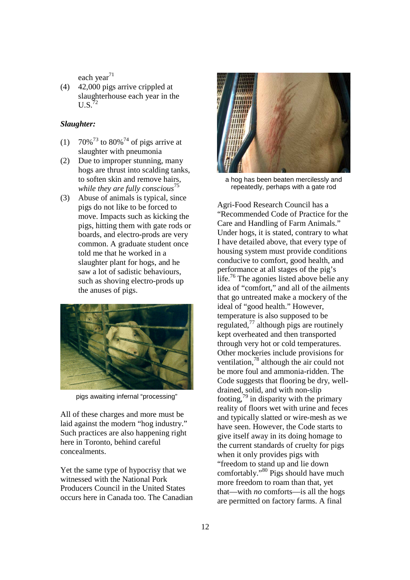each year $^{71}$ 

(4) 42,000 pigs arrive crippled at slaughterhouse each year in the  $U.S.$ <sup>72</sup>

# *Slaughter:*

- (1)  $70\%^{73}$  to  $80\%^{74}$  of pigs arrive at slaughter with pneumonia
- (2) Due to improper stunning, many hogs are thrust into scalding tanks, to soften skin and remove hairs, *while they are fully conscious*<sup>75</sup>
- (3) Abuse of animals is typical, since pigs do not like to be forced to move. Impacts such as kicking the pigs, hitting them with gate rods or boards, and electro-prods are very common. A graduate student once told me that he worked in a slaughter plant for hogs, and he saw a lot of sadistic behaviours, such as shoving electro-prods up the anuses of pigs.



pigs awaiting infernal "processing"

All of these charges and more must be laid against the modern "hog industry." Such practices are also happening right here in Toronto, behind careful concealments.

Yet the same type of hypocrisy that we witnessed with the National Pork Producers Council in the United States occurs here in Canada too. The Canadian



a hog has been beaten mercilessly and repeatedly, perhaps with a gate rod

Agri-Food Research Council has a "Recommended Code of Practice for the Care and Handling of Farm Animals." Under hogs, it is stated, contrary to what I have detailed above, that every type of housing system must provide conditions conducive to comfort, good health, and performance at all stages of the pig's life.<sup>76</sup> The agonies listed above belie any idea of "comfort," and all of the ailments that go untreated make a mockery of the ideal of "good health." However, temperature is also supposed to be regulated, $^{77}$  although pigs are routinely kept overheated and then transported through very hot or cold temperatures. Other mockeries include provisions for ventilation,<sup>78</sup> although the air could not be more foul and ammonia-ridden. The Code suggests that flooring be dry, welldrained, solid, and with non-slip footing,  $\frac{79}{9}$  in disparity with the primary reality of floors wet with urine and feces and typically slatted or wire-mesh as we have seen. However, the Code starts to give itself away in its doing homage to the current standards of cruelty for pigs when it only provides pigs with "freedom to stand up and lie down comfortably."<sup>80</sup> Pigs should have much more freedom to roam than that, yet that—with *no* comforts—is all the hogs are permitted on factory farms. A final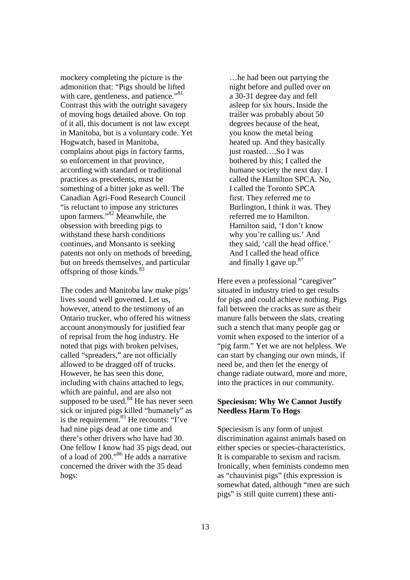mockery completing the picture is the admonition that: "Pigs should be lifted with care, gentleness, and patience."<sup>81</sup> Contrast this with the outright savagery of moving hogs detailed above. On top of it all, this document is not law except in Manitoba, but is a voluntary code. Yet Hogwatch, based in Manitoba, complains about pigs in factory farms, so enforcement in that province, according with standard or traditional practices as precedents, must be something of a bitter joke as well. The Canadian Agri-Food Research Council "is reluctant to impose any strictures upon farmers."<sup>82</sup> Meanwhile, the obsession with breeding pigs to withstand these harsh conditions continues, and Monsanto is seeking patents not only on methods of breeding, but on breeds themselves, and particular offspring of those kinds.<sup>83</sup>

The codes and Manitoba law make pigs' lives sound well governed. Let us, however, attend to the testimony of an Ontario trucker, who offered his witness account anonymously for justified fear of reprisal from the hog industry. He noted that pigs with broken pelvises, called "spreaders," are not officially allowed to be dragged off of trucks. However, he has seen this done, including with chains attached to legs, which are painful, and are also not supposed to be used. $84$  He has never seen sick or injured pigs killed "humanely" as is the requirement.<sup>85</sup> He recounts: "I've had nine pigs dead at one time and there's other drivers who have had 30. One fellow I know had 35 pigs dead, out of a load of  $200.^{86}$  He adds a narrative concerned the driver with the 35 dead hogs:

…he had been out partying the night before and pulled over on a 30-31 degree day and fell asleep for six hours. Inside the trailer was probably about 50 degrees because of the heat, you know the metal being heated up. And they basically just roasted….So I was bothered by this; I called the humane society the next day. I called the Hamilton SPCA. No, I called the Toronto SPCA first. They referred me to Burlington, I think it was. They referred me to Hamilton. Hamilton said, 'I don't know why you're calling us.' And they said, 'call the head office.' And I called the head office and finally I gave up. $87$ 

Here even a professional "caregiver" situated in industry tried to get results for pigs and could achieve nothing. Pigs fall between the cracks as sure as their manure falls between the slats, creating such a stench that many people gag or vomit when exposed to the interior of a "pig farm." Yet we are not helpless. We can start by changing our own minds, if need be, and then let the energy of change radiate outward, more and more, into the practices in our community.

# **Speciesism: Why We Cannot Justify Needless Harm To Hogs**

Speciesism is any form of unjust discrimination against animals based on either species or species-characteristics. It is comparable to sexism and racism. Ironically, when feminists condemn men as "chauvinist pigs" (this expression is somewhat dated, although "men are such pigs" is still quite current) these anti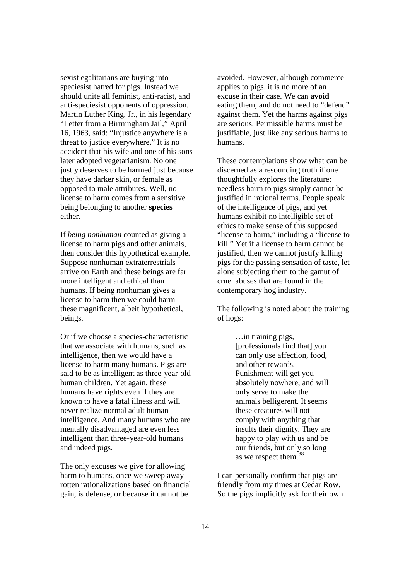sexist egalitarians are buying into speciesist hatred for pigs. Instead we should unite all feminist, anti-racist, and anti-speciesist opponents of oppression. Martin Luther King, Jr., in his legendary "Letter from a Birmingham Jail," April 16, 1963, said: "Injustice anywhere is a threat to justice everywhere." It is no accident that his wife and one of his sons later adopted vegetarianism. No one justly deserves to be harmed just because they have darker skin, or female as opposed to male attributes. Well, no license to harm comes from a sensitive being belonging to another **species** either.

If *being nonhuman* counted as giving a license to harm pigs and other animals, then consider this hypothetical example. Suppose nonhuman extraterrestrials arrive on Earth and these beings are far more intelligent and ethical than humans. If being nonhuman gives a license to harm then we could harm these magnificent, albeit hypothetical, beings.

Or if we choose a species-characteristic that we associate with humans, such as intelligence, then we would have a license to harm many humans. Pigs are said to be as intelligent as three-year-old human children. Yet again, these humans have rights even if they are known to have a fatal illness and will never realize normal adult human intelligence. And many humans who are mentally disadvantaged are even less intelligent than three-year-old humans and indeed pigs.

The only excuses we give for allowing harm to humans, once we sweep away rotten rationalizations based on financial gain, is defense, or because it cannot be

avoided. However, although commerce applies to pigs, it is no more of an excuse in their case. We can **avoid** eating them, and do not need to "defend" against them. Yet the harms against pigs are serious. Permissible harms must be justifiable, just like any serious harms to humans.

These contemplations show what can be discerned as a resounding truth if one thoughtfully explores the literature: needless harm to pigs simply cannot be justified in rational terms. People speak of the intelligence of pigs, and yet humans exhibit no intelligible set of ethics to make sense of this supposed "license to harm," including a "license to kill." Yet if a license to harm cannot be justified, then we cannot justify killing pigs for the passing sensation of taste, let alone subjecting them to the gamut of cruel abuses that are found in the contemporary hog industry.

The following is noted about the training of hogs:

> …in training pigs, [professionals find that] you can only use affection, food, and other rewards. Punishment will get you absolutely nowhere, and will only serve to make the animals belligerent. It seems these creatures will not comply with anything that insults their dignity. They are happy to play with us and be our friends, but only so long as we respect them.<sup>88</sup>

I can personally confirm that pigs are friendly from my times at Cedar Row. So the pigs implicitly ask for their own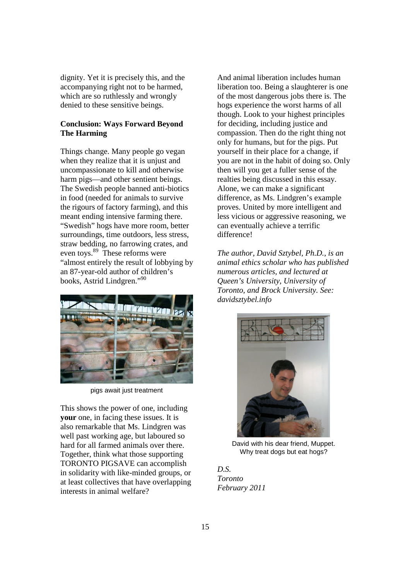dignity. Yet it is precisely this, and the accompanying right not to be harmed, which are so ruthlessly and wrongly denied to these sensitive beings.

# **Conclusion: Ways Forward Beyond The Harming**

Things change. Many people go vegan when they realize that it is unjust and uncompassionate to kill and otherwise harm pigs—and other sentient beings. The Swedish people banned anti-biotics in food (needed for animals to survive the rigours of factory farming), and this meant ending intensive farming there. "Swedish" hogs have more room, better surroundings, time outdoors, less stress, straw bedding, no farrowing crates, and even toys. $89$  These reforms were "almost entirely the result of lobbying by an 87-year-old author of children's books, Astrid Lindgren."<sup>90</sup>



pigs await just treatment

This shows the power of one, including **your** one, in facing these issues. It is also remarkable that Ms. Lindgren was well past working age, but laboured so hard for all farmed animals over there. Together, think what those supporting TORONTO PIGSAVE can accomplish in solidarity with like-minded groups, or at least collectives that have overlapping interests in animal welfare?

And animal liberation includes human liberation too. Being a slaughterer is one of the most dangerous jobs there is. The hogs experience the worst harms of all though. Look to your highest principles for deciding, including justice and compassion. Then do the right thing not only for humans, but for the pigs. Put yourself in their place for a change, if you are not in the habit of doing so. Only then will you get a fuller sense of the realties being discussed in this essay. Alone, we can make a significant difference, as Ms. Lindgren's example proves. United by more intelligent and less vicious or aggressive reasoning, we can eventually achieve a terrific difference!

*The author, David Sztybel, Ph.D., is an animal ethics scholar who has published numerous articles, and lectured at Queen's University, University of Toronto, and Brock University. See: davidsztybel.info* 



David with his dear friend, Muppet. Why treat dogs but eat hogs?

*D.S. Toronto February 2011*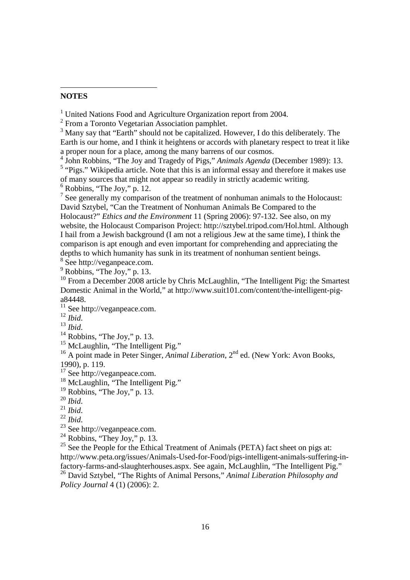# **NOTES**

-

<sup>1</sup> United Nations Food and Agriculture Organization report from 2004.

<sup>2</sup> From a Toronto Vegetarian Association pamphlet.

<sup>3</sup> Many say that "Earth" should not be capitalized. However, I do this deliberately. The Earth is our home, and I think it heightens or accords with planetary respect to treat it like a proper noun for a place, among the many barrens of our cosmos.

4 John Robbins, "The Joy and Tragedy of Pigs," *Animals Agenda* (December 1989): 13.

<sup>5</sup> "Pigs." Wikipedia article. Note that this is an informal essay and therefore it makes use of many sources that might not appear so readily in strictly academic writing.

 $6$  Robbins, "The Joy," p. 12.

 $<sup>7</sup>$  See generally my comparison of the treatment of nonhuman animals to the Holocaust:</sup> David Sztybel, "Can the Treatment of Nonhuman Animals Be Compared to the Holocaust?" *Ethics and the Environment* 11 (Spring 2006): 97-132. See also, on my website, the Holocaust Comparison Project: http://sztybel.tripod.com/Hol.html. Although I hail from a Jewish background (I am not a religious Jew at the same time), I think the comparison is apt enough and even important for comprehending and appreciating the depths to which humanity has sunk in its treatment of nonhuman sentient beings.

 $^8$  See http://veganpeace.com.<br>
<sup>9</sup> Robbins, "The Joy," p. 13.

<sup>10</sup> From a December 2008 article by Chris McLaughlin, "The Intelligent Pig: the Smartest" Domestic Animal in the World," at http://www.suit101.com/content/the-intelligent-piga84448.

 $11$  See http://veganpeace.com.

<sup>12</sup> *Ibid*.

<sup>13</sup> *Ibid*.

 $14$  Robbins, "The Joy," p. 13.

<sup>15</sup> McLaughlin, "The Intelligent Pig."

<sup>16</sup> A point made in Peter Singer, *Animal Liberation*, 2<sup>nd</sup> ed. (New York: Avon Books, 1990), p. 119.

 $17$  See http://veganpeace.com.

<sup>18</sup> McLaughlin, "The Intelligent Pig."

 $19$  Robbins, "The Joy," p. 13.

<sup>21</sup> *Ibid*.

<sup>22</sup> *Ibid*.

<sup>23</sup> See http://veganpeace.com.

 $24$  Robbins, "They Joy," p. 13.

 $25$  See the People for the Ethical Treatment of Animals (PETA) fact sheet on pigs at: http://www.peta.org/issues/Animals-Used-for-Food/pigs-intelligent-animals-suffering-infactory-farms-and-slaughterhouses.aspx. See again, McLaughlin, "The Intelligent Pig."

<sup>26</sup> David Sztybel, "The Rights of Animal Persons," *Animal Liberation Philosophy and Policy Journal* 4 (1) (2006): 2.

<sup>20</sup> *Ibid*.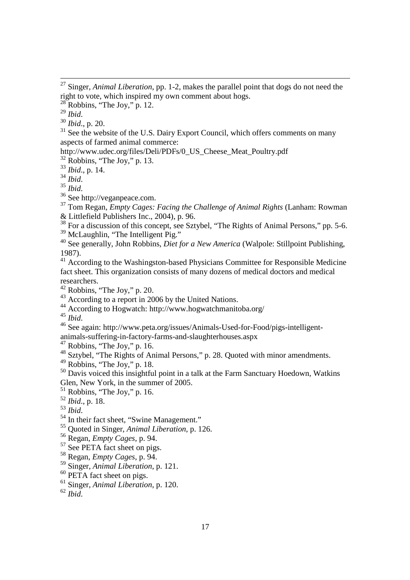Robbins, "The Joy," p. 12.

*Ibid*.

l

*Ibid*., p. 20.

 See the website of the U.S. Dairy Export Council, which offers comments on many aspects of farmed animal commerce:

http://www.udec.org/files/Deli/PDFs/0\_US\_Cheese\_Meat\_Poultry.pdf

Robbins, "The Joy," p. 13.

*Ibid*., p. 14.

*Ibid*.

*Ibid*.

See http://veganpeace.com.

 Tom Regan, *Empty Cages: Facing the Challenge of Animal Rights* (Lanham: Rowman & Littlefield Publishers Inc., 2004), p. 96.

<sup>38</sup> For a discussion of this concept, see Sztybel, "The Rights of Animal Persons," pp. 5-6. <sup>39</sup> McLaughlin, "The Intelligent Pig."

 See generally, John Robbins, *Diet for a New America* (Walpole: Stillpoint Publishing, 1987).

 $\frac{41}{41}$  According to the Washingston-based Physicians Committee for Responsible Medicine fact sheet. This organization consists of many dozens of medical doctors and medical researchers.

According to a report in 2006 by the United Nations.

According to Hogwatch: http://www.hogwatchmanitoba.org/

*Ibid*.

See again: http://www.peta.org/issues/Animals-Used-for-Food/pigs-intelligent-

animals-suffering-in-factory-farms-and-slaughterhouses.aspx

Robbins, "The Joy," p. 16.

<sup>48</sup> Sztybel, "The Rights of Animal Persons," p. 28. Quoted with minor amendments.

Robbins, "The Joy," p. 18.

<sup>50</sup> Davis voiced this insightful point in a talk at the Farm Sanctuary Hoedown, Watkins Glen, New York, in the summer of 2005.

Robbins, "The Joy," p. 16.

*Ibid*., p. 18.

*Ibid*.

<sup>54</sup> In their fact sheet, "Swine Management."

Quoted in Singer, *Animal Liberation*, p. 126.

Regan, *Empty Cages*, p. 94.

<sup>57</sup> See PETA fact sheet on pigs.

Regan, *Empty Cages*, p. 94.

Singer, *Animal Liberation*, p. 121.

<sup>60</sup> PETA fact sheet on pigs.

Singer, *Animal Liberation*, p. 120.

*Ibid*.

 Singer, *Animal Liberation*, pp. 1-2, makes the parallel point that dogs do not need the right to vote, which inspired my own comment about hogs.

Robbins, "The Joy," p. 20.